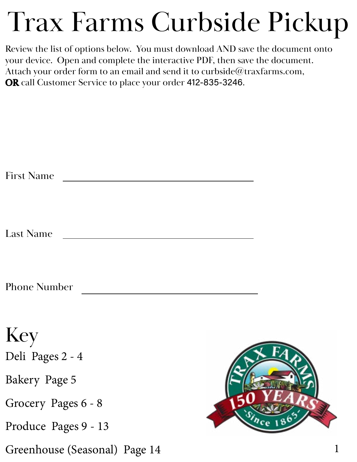# Trax Farms Curbside Pickup

Review the list of options below. You must download AND save the document onto your device. Open and complete the interactive PDF, then save the document. Attach your order form to an email and send it to curbside@traxfarms.com, OR call Customer Service to place your order 412-835-3246.

| <b>First Name</b>             |  |
|-------------------------------|--|
| <b>Last Name</b>              |  |
| <b>Phone Number</b>           |  |
| Key<br>Deli Pages 2 - 4       |  |
| Bakery Page 5                 |  |
| Grocery Pages 6 - 8           |  |
| Produce Pages 9 - 13          |  |
| Greenhouse (Seasonal) Page 14 |  |

1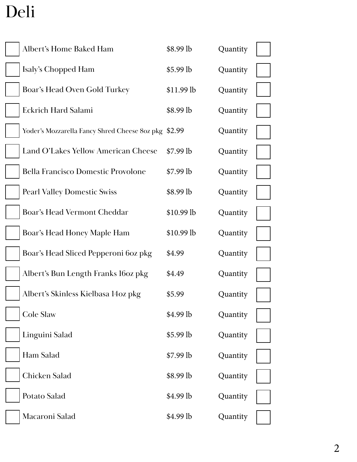# Deli

| Albert's Home Baked Ham                              | \$8.99 lb  | Quantity |  |
|------------------------------------------------------|------------|----------|--|
| Isaly's Chopped Ham                                  | \$5.99 lb  | Quantity |  |
| Boar's Head Oven Gold Turkey                         | \$11.99 lb | Quantity |  |
| <b>Eckrich Hard Salami</b>                           | \$8.99 lb  | Quantity |  |
| Yoder's Mozzarella Fancy Shred Cheese 8oz pkg \$2.99 |            | Quantity |  |
| Land O'Lakes Yellow American Cheese                  | $$7.99$ lb | Quantity |  |
| <b>Bella Francisco Domestic Provolone</b>            | $$7.99$ lb | Quantity |  |
| <b>Pearl Valley Domestic Swiss</b>                   | $$8.99$ lb | Quantity |  |
| Boar's Head Vermont Cheddar                          | \$10.99 lb | Quantity |  |
| Boar's Head Honey Maple Ham                          | \$10.99 lb | Quantity |  |
| Boar's Head Sliced Pepperoni 6oz pkg                 | \$4.99     | Quantity |  |
| Albert's Bun Length Franks 16oz pkg                  | \$4.49     | Quantity |  |
| Albert's Skinless Kielbasa 14oz pkg                  | \$5.99     | Quantity |  |
| <b>Cole Slaw</b>                                     | $$4.99$ lb | Quantity |  |
| Linguini Salad                                       | \$5.99 lb  | Quantity |  |
| Ham Salad                                            | $$7.99$ lb | Quantity |  |
| Chicken Salad                                        | \$8.99 lb  | Quantity |  |
| Potato Salad                                         | \$4.99 lb  | Quantity |  |
| Macaroni Salad                                       | \$4.99 lb  | Quantity |  |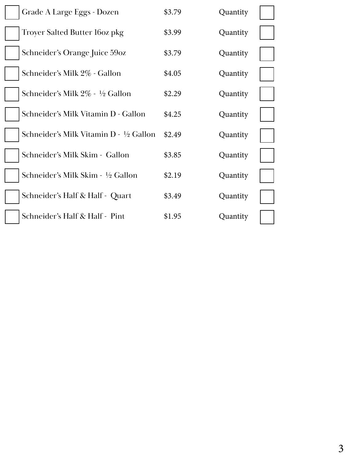| Grade A Large Eggs - Dozen            | \$3.79 | Quantity |  |
|---------------------------------------|--------|----------|--|
| <b>Troyer Salted Butter 160z pkg</b>  | \$3.99 | Quantity |  |
| Schneider's Orange Juice 59oz         | \$3.79 | Quantity |  |
| Schneider's Milk 2% - Gallon          | \$4.05 | Quantity |  |
| Schneider's Milk 2% - 1/2 Gallon      | \$2.29 | Quantity |  |
| Schneider's Milk Vitamin D - Gallon   | \$4.25 | Quantity |  |
| Schneider's Milk Vitamin D - ½ Gallon | \$2.49 | Quantity |  |
| Schneider's Milk Skim - Gallon        | \$3.85 | Quantity |  |
| Schneider's Milk Skim - ½ Gallon      | \$2.19 | Quantity |  |
| Schneider's Half & Half - Quart       | \$3.49 | Quantity |  |
| Schneider's Half & Half - Pint        | \$1.95 | Quantity |  |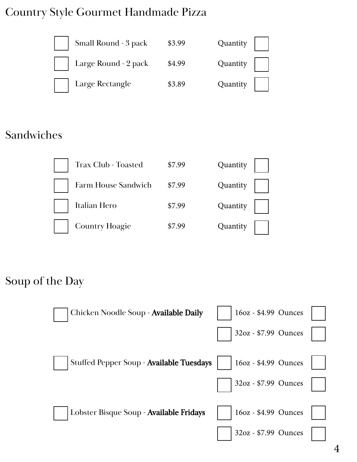#### Country Style Gourmet Handmade Pizza



#### Sandwiches



| <b>Trax Club - Toasted</b> | \$7.99 | Quantity |
|----------------------------|--------|----------|
| Farm House Sandwich        | \$7.99 | Quantity |
| Italian Hero               | \$7.99 | Quantity |
| <b>Country Hoagie</b>      | \$7.99 | Quantity |

#### Soup of the Day

| Chicken Noodle Soup - Available Daily    | 16oz - \$4.99 Ounces |  |
|------------------------------------------|----------------------|--|
|                                          | 32oz - \$7.99 Ounces |  |
| Stuffed Pepper Soup - Available Tuesdays | 16oz - \$4.99 Ounces |  |
|                                          | 32oz - \$7.99 Ounces |  |
| Lobster Bisque Soup - Available Fridays  | 16oz - \$4.99 Ounces |  |
|                                          | 32oz - \$7.99 Ounces |  |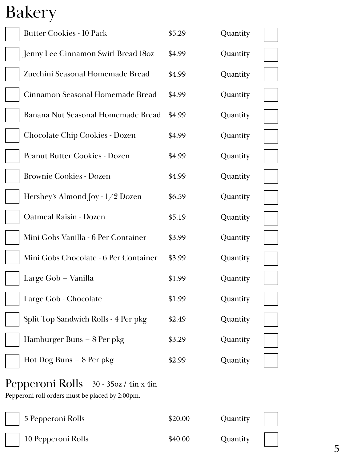## Bakery

| <b>Butter Cookies - 10 Pack</b>                                                             | \$5.29 | Quantity |  |
|---------------------------------------------------------------------------------------------|--------|----------|--|
| Jenny Lee Cinnamon Swirl Bread 180z                                                         | \$4.99 | Quantity |  |
| Zucchini Seasonal Homemade Bread                                                            | \$4.99 | Quantity |  |
| Cinnamon Seasonal Homemade Bread                                                            | \$4.99 | Quantity |  |
| Banana Nut Seasonal Homemade Bread                                                          | \$4.99 | Quantity |  |
| <b>Chocolate Chip Cookies - Dozen</b>                                                       | \$4.99 | Quantity |  |
| Peanut Butter Cookies - Dozen                                                               | \$4.99 | Quantity |  |
| <b>Brownie Cookies - Dozen</b>                                                              | \$4.99 | Quantity |  |
| Hershey's Almond Joy - $1/2$ Dozen                                                          | \$6.59 | Quantity |  |
| <b>Oatmeal Raisin - Dozen</b>                                                               | \$5.19 | Quantity |  |
| Mini Gobs Vanilla - 6 Per Container                                                         | \$3.99 | Quantity |  |
| Mini Gobs Chocolate - 6 Per Container                                                       | \$3.99 | Quantity |  |
| Large Gob - Vanilla                                                                         | \$1.99 | Quantity |  |
| Large Gob - Chocolate                                                                       | \$1.99 | Quantity |  |
| Split Top Sandwich Rolls - 4 Per pkg                                                        | \$2.49 | Quantity |  |
| Hamburger Buns – 8 Per pkg                                                                  | \$3.29 | Quantity |  |
| Hot Dog Buns $-8$ Per pkg                                                                   | \$2.99 | Quantity |  |
| Pepperoni Rolls 30 - 35 oz / 4 in x 4 in<br>Pepperoni roll orders must be placed by 2:00pm. |        |          |  |
|                                                                                             |        |          |  |

5 Pepperoni Rolls 10 Pepperoni Rolls \$20.00 \$40.00 Quantity Quantity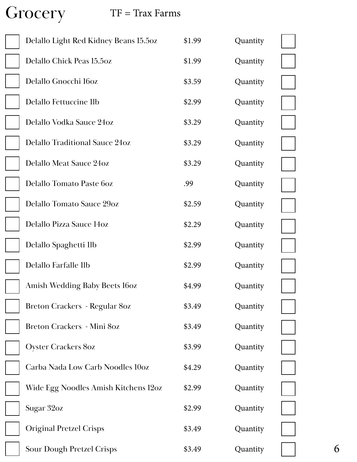Grocery

#### TF = Trax Farms

| Delallo Light Red Kidney Beans 15.50z | \$1.99 | Quantity |  |
|---------------------------------------|--------|----------|--|
| Delallo Chick Peas 15.5oz             | \$1.99 | Quantity |  |
| Delallo Gnocchi 160z                  | \$3.59 | Quantity |  |
| Delallo Fettuccine llb                | \$2.99 | Quantity |  |
| Delallo Vodka Sauce 24oz              | \$3.29 | Quantity |  |
| Delallo Traditional Sauce 24oz        | \$3.29 | Quantity |  |
| Delallo Meat Sauce 24oz               | \$3.29 | Quantity |  |
| Delallo Tomato Paste 60z              | .99    | Quantity |  |
| <b>Delallo Tomato Sauce 29oz</b>      | \$2.59 | Quantity |  |
| Delallo Pizza Sauce 14oz              | \$2.29 | Quantity |  |
| Delallo Spaghetti 1lb                 | \$2.99 | Quantity |  |
| Delallo Farfalle 1lb                  | \$2.99 | Quantity |  |
| <b>Amish Wedding Baby Beets 16oz</b>  | \$4.99 | Quantity |  |
| Breton Crackers - Regular 80z         | \$3.49 | Quantity |  |
| Breton Crackers - Mini 80z            | \$3.49 | Quantity |  |
| <b>Oyster Crackers 80z</b>            | \$3.99 | Quantity |  |
| Carba Nada Low Carb Noodles 10oz      | \$4.29 | Quantity |  |
| Wide Egg Noodles Amish Kitchens 120z  | \$2.99 | Quantity |  |
| Sugar 32oz                            | \$2.99 | Quantity |  |
| <b>Original Pretzel Crisps</b>        | \$3.49 | Quantity |  |
| <b>Sour Dough Pretzel Crisps</b>      | \$3.49 | Quantity |  |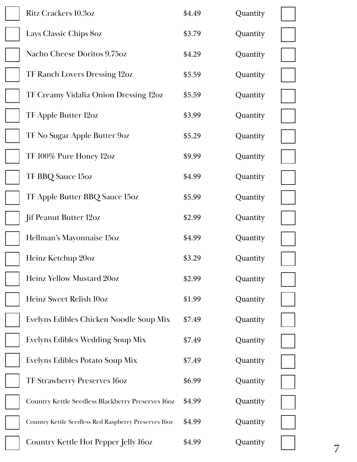| <b>Ritz Crackers 10.3oz</b>                          | \$4.49 | Quantity |   |
|------------------------------------------------------|--------|----------|---|
| Lays Classic Chips 80z                               | \$3.79 | Quantity |   |
| Nacho Cheese Doritos 9.75oz                          | \$4.29 | Quantity |   |
| TF Ranch Lovers Dressing 12oz                        | \$5.59 | Quantity |   |
| TF Creamy Vidalia Onion Dressing 12oz                | \$5.59 | Quantity |   |
| TF Apple Butter 12oz                                 | \$3.99 | Quantity |   |
| TF No Sugar Apple Butter 9oz                         | \$5.29 | Quantity |   |
| TF 100% Pure Honey 12oz                              | \$9.99 | Quantity |   |
| TF BBQ Sauce 15oz                                    | \$4.99 | Quantity |   |
| TF Apple Butter BBQ Sauce 15oz                       | \$5.99 | Quantity |   |
| Jif Peanut Butter 12oz                               | \$2.99 | Quantity |   |
| Hellman's Mayonnaise 15oz                            | \$4.99 | Quantity |   |
| Heinz Ketchup 20oz                                   | \$3.29 | Quantity |   |
| Heinz Yellow Mustard 20oz                            | \$2.99 | Quantity |   |
| Heinz Sweet Relish 10oz                              | \$1.99 | Quantity |   |
| Evelyns Edibles Chicken Noodle Soup Mix              | \$7.49 | Quantity |   |
| Evelyns Edibles Wedding Soup Mix                     | \$7.49 | Quantity |   |
| Evelyns Edibles Potato Soup Mix                      | \$7.49 | Quantity |   |
| <b>TF Strawberry Preserves 16oz</b>                  | \$6.99 | Quantity |   |
| Country Kettle Seedless Blackberry Preserves 160z    | \$4.99 | Quantity |   |
| Country Kettle Seedless Red Raspberry Preserves 160z | \$4.99 | Quantity |   |
| Country Kettle Hot Pepper Jelly 160z                 | \$4.99 | Quantity | 7 |
|                                                      |        |          |   |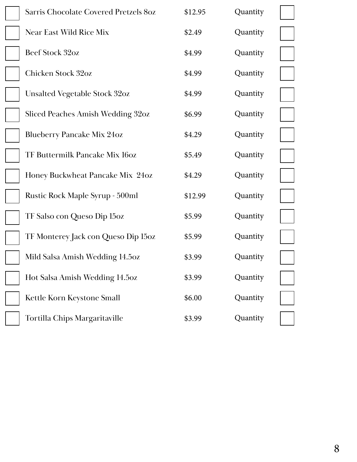| Sarris Chocolate Covered Pretzels 80z  | \$12.95 | Quantity |  |
|----------------------------------------|---------|----------|--|
| Near East Wild Rice Mix                | \$2.49  | Quantity |  |
| Beef Stock 32oz                        | \$4.99  | Quantity |  |
| Chicken Stock 32oz                     | \$4.99  | Quantity |  |
| <b>Unsalted Vegetable Stock 32oz</b>   | \$4.99  | Quantity |  |
| Sliced Peaches Amish Wedding 32oz      | \$6.99  | Quantity |  |
| <b>Blueberry Pancake Mix 24oz</b>      | \$4.29  | Quantity |  |
| TF Buttermilk Pancake Mix 160z         | \$5.49  | Quantity |  |
| Honey Buckwheat Pancake Mix 24oz       | \$4.29  | Quantity |  |
| <b>Rustic Rock Maple Syrup - 500ml</b> | \$12.99 | Quantity |  |
| TF Salso con Queso Dip 15oz            | \$5.99  | Quantity |  |
| TF Monterey Jack con Queso Dip 150z    | \$5.99  | Quantity |  |
| Mild Salsa Amish Wedding 14.5oz        | \$3.99  | Quantity |  |
| Hot Salsa Amish Wedding 14.5oz         | \$3.99  | Quantity |  |
| Kettle Korn Keystone Small             | \$6.00  | Quantity |  |
| Tortilla Chips Margaritaville          | \$3.99  | Quantity |  |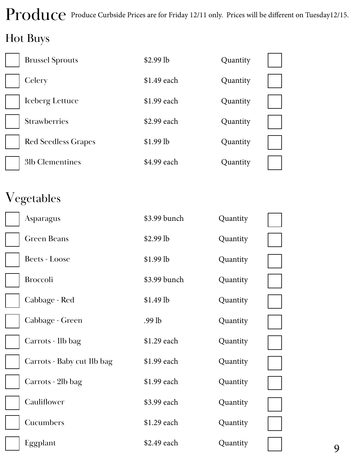## Produce Produce Curbside Prices are for Friday 12/11 only. Prices will be different on Tuesday12/15.

## Hot Buys

| <b>Brussel Sprouts</b>     | $$2.99$ lb  | Quantity |  |
|----------------------------|-------------|----------|--|
| Celery                     | \$1.49 each | Quantity |  |
| Iceberg Lettuce            | \$1.99 each | Quantity |  |
| <b>Strawberries</b>        | \$2.99 each | Quantity |  |
| <b>Red Seedless Grapes</b> | $$1.99$ lb  | Quantity |  |
| 31b Clementines            | \$4.99 each | Quantity |  |

## Vegetables

|  | Asparagus                  | \$3.99 bunch | Quantity |   |
|--|----------------------------|--------------|----------|---|
|  | <b>Green Beans</b>         | \$2.99 lb    | Quantity |   |
|  | <b>Beets - Loose</b>       | \$1.99 lb    | Quantity |   |
|  | <b>Broccoli</b>            | \$3.99 bunch | Quantity |   |
|  | Cabbage - Red              | \$1.49 lb    | Quantity |   |
|  | Cabbage - Green            | $.99$ lb     | Quantity |   |
|  | Carrots - 1lb bag          | \$1.29 each  | Quantity |   |
|  | Carrots - Baby cut 1lb bag | \$1.99 each  | Quantity |   |
|  | Carrots - 2lb bag          | \$1.99 each  | Quantity |   |
|  | Cauliflower                | \$3.99 each  | Quantity |   |
|  | Cucumbers                  | \$1.29 each  | Quantity |   |
|  | Eggplant                   | \$2.49 each  | Quantity | 9 |
|  |                            |              |          |   |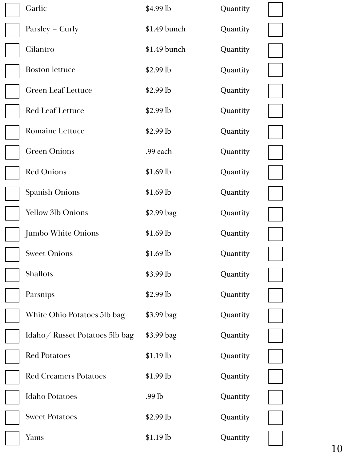| Garlic                         | \$4.99 lb    | Quantity |  |
|--------------------------------|--------------|----------|--|
| $Parsley - Curly$              | \$1.49 bunch | Quantity |  |
| Cilantro                       | \$1.49 bunch | Quantity |  |
| <b>Boston</b> lettuce          | $$2.99$ lb   | Quantity |  |
| <b>Green Leaf Lettuce</b>      | $$2.99$ lb   | Quantity |  |
| <b>Red Leaf Lettuce</b>        | $$2.99$ lb   | Quantity |  |
| <b>Romaine Lettuce</b>         | $$2.99$ lb   | Quantity |  |
| <b>Green Onions</b>            | .99 each     | Quantity |  |
| <b>Red Onions</b>              | $$1.69$ lb   | Quantity |  |
| <b>Spanish Onions</b>          | $$1.69$ lb   | Quantity |  |
| <b>Yellow 3lb Onions</b>       | \$2.99 bag   | Quantity |  |
| <b>Jumbo White Onions</b>      | $$1.69$ lb   | Quantity |  |
| <b>Sweet Onions</b>            | $$1.69$ lb   | Quantity |  |
| Shallots                       | \$3.99 lb    | Quantity |  |
| Parsnips                       | \$2.99 lb    | Quantity |  |
| White Ohio Potatoes 5lb bag    | \$3.99 bag   | Quantity |  |
| Idaho/ Russet Potatoes 5lb bag | \$3.99 bag   | Quantity |  |
| <b>Red Potatoes</b>            | \$1.19 lb    | Quantity |  |
| <b>Red Creamers Potatoes</b>   | $$1.99$ lb   | Quantity |  |
| <b>Idaho Potatoes</b>          | $.99$ lb     | Quantity |  |
| <b>Sweet Potatoes</b>          | \$2.99 lb    | Quantity |  |
| Yams                           | $$1.19$ lb   | Quantity |  |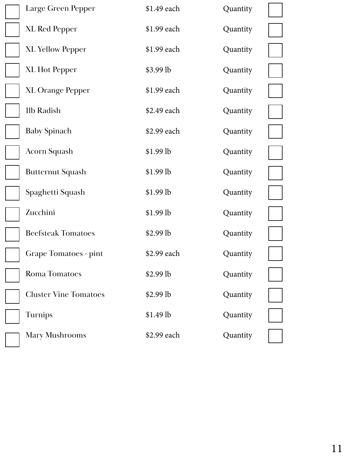| Large Green Pepper           | \$1.49 each | Quantity |  |
|------------------------------|-------------|----------|--|
| <b>XL Red Pepper</b>         | \$1.99 each | Quantity |  |
| <b>XL Yellow Pepper</b>      | \$1.99 each | Quantity |  |
| <b>XL Hot Pepper</b>         | \$3.99 lb   | Quantity |  |
| <b>XL Orange Pepper</b>      | \$1.99 each | Quantity |  |
| <b>11b Radish</b>            | \$2.49 each | Quantity |  |
| <b>Baby Spinach</b>          | \$2.99 each | Quantity |  |
| <b>Acorn Squash</b>          | \$1.99 lb   | Quantity |  |
| <b>Butternut Squash</b>      | $$1.99$ lb  | Quantity |  |
| Spaghetti Squash             | \$1.99 lb   | Quantity |  |
| Zucchini                     | \$1.99 lb   | Quantity |  |
| <b>Beefsteak Tomatoes</b>    | $$2.99$ lb  | Quantity |  |
| Grape Tomatoes - pint        | \$2.99 each | Quantity |  |
| <b>Roma Tomatoes</b>         | \$2.99 lb   | Quantity |  |
| <b>Cluster Vine Tomatoes</b> | \$2.99 lb   | Quantity |  |
| Turnips                      | \$1.49 lb   | Quantity |  |
| <b>Mary Mushrooms</b>        | \$2.99 each | Quantity |  |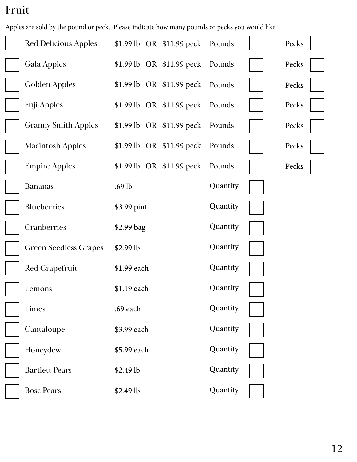## Fruit

Apples are sold by the pound or peck. Please indicate how many pounds or pecks you would like.

| <b>Red Delicious Apples</b>  | \$1.99 lb OR \$11.99 peck Pounds            |          | Pecks |
|------------------------------|---------------------------------------------|----------|-------|
| Gala Apples                  | $$1.99 \, lb \quad OR \quad $11.99 \, peck$ | Pounds   | Pecks |
| <b>Golden Apples</b>         | $$1.99$ lb OR $$11.99$ peck                 | Pounds   | Pecks |
| <b>Fuji Apples</b>           | \$1.99 lb $OR$ \$11.99 peck                 | Pounds   | Pecks |
| <b>Granny Smith Apples</b>   | \$1.99 lb OR \$11.99 peck Pounds            |          | Pecks |
| <b>Macintosh Apples</b>      | $$1.99$ lb OR $$11.99$ peck                 | Pounds   | Pecks |
| <b>Empire Apples</b>         | $$1.99$ lb OR $$11.99$ peck                 | Pounds   | Pecks |
| <b>Bananas</b>               | $.69$ lb                                    | Quantity |       |
| Blueberries                  | \$3.99 pint                                 | Quantity |       |
| Cranberries                  | \$2.99 bag                                  | Quantity |       |
| <b>Green Seedless Grapes</b> | $$2.99$ lb                                  | Quantity |       |
| Red Grapefruit               | \$1.99 each                                 | Quantity |       |
| Lemons                       | \$1.19 each                                 | Quantity |       |
| Limes                        | .69 each                                    | Quantity |       |
| Cantaloupe                   | \$3.99 each                                 | Quantity |       |
| Honeydew                     | \$5.99 each                                 | Quantity |       |
| <b>Bartlett Pears</b>        | \$2.49 lb                                   | Quantity |       |
| <b>Bosc Pears</b>            | \$2.49 lb                                   | Quantity |       |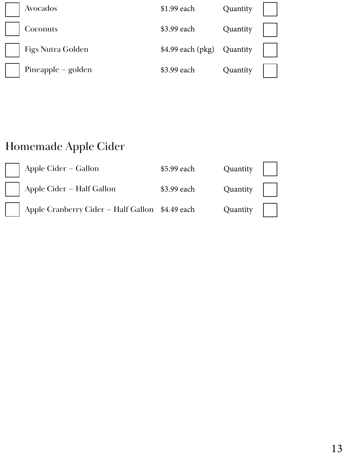| Avocados           | \$1.99 each                | Quantity |  |
|--------------------|----------------------------|----------|--|
| Coconuts           | \$3.99 each                | Quantity |  |
| Figs Nutra Golden  | \$4.99 each (pkg) Quantity |          |  |
| Pineapple – golden | \$3.99 each                | Quantity |  |

## Homemade Apple Cider

| Apple Cider - Gallon                            | \$5.99 each | Quantity $\vert \vert$ |  |
|-------------------------------------------------|-------------|------------------------|--|
| Apple Cider - Half Gallon                       | \$3.99 each | Quantity               |  |
| Apple Cranberry Cider - Half Gallon \$4.49 each |             | Quantity               |  |